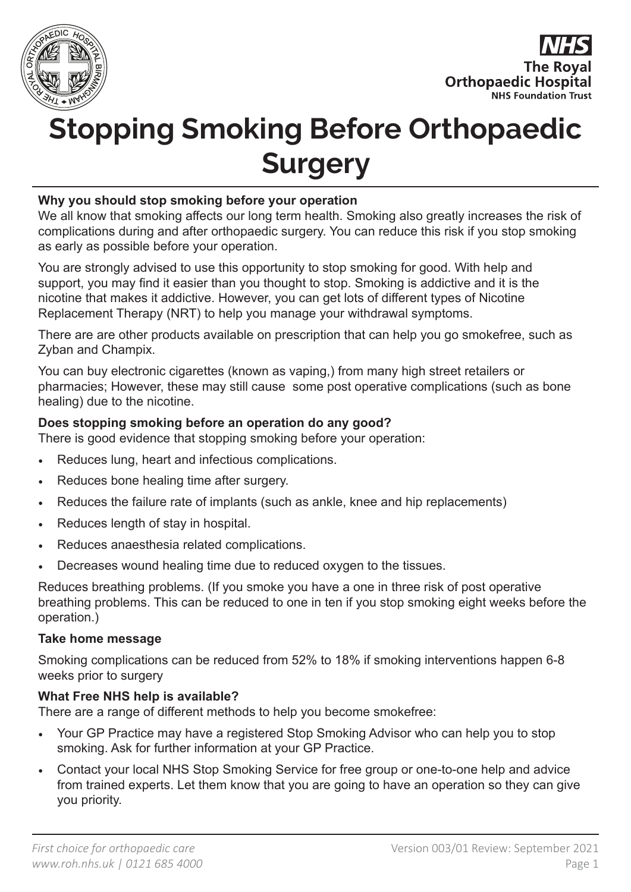



# **Stopping Smoking Before Orthopaedic Surgery**

#### **Why you should stop smoking before your operation**

We all know that smoking affects our long term health. Smoking also greatly increases the risk of complications during and after orthopaedic surgery. You can reduce this risk if you stop smoking as early as possible before your operation.

You are strongly advised to use this opportunity to stop smoking for good. With help and support, you may find it easier than you thought to stop. Smoking is addictive and it is the nicotine that makes it addictive. However, you can get lots of different types of Nicotine Replacement Therapy (NRT) to help you manage your withdrawal symptoms.

There are are other products available on prescription that can help you go smokefree, such as Zyban and Champix.

You can buy electronic cigarettes (known as vaping,) from many high street retailers or pharmacies; However, these may still cause some post operative complications (such as bone healing) due to the nicotine.

#### **Does stopping smoking before an operation do any good?**

There is good evidence that stopping smoking before your operation:

- Reduces lung, heart and infectious complications.
- Reduces bone healing time after surgery.
- Reduces the failure rate of implants (such as ankle, knee and hip replacements)
- Reduces length of stay in hospital.
- Reduces anaesthesia related complications.
- Decreases wound healing time due to reduced oxygen to the tissues.

Reduces breathing problems. (If you smoke you have a one in three risk of post operative breathing problems. This can be reduced to one in ten if you stop smoking eight weeks before the operation.)

#### **Take home message**

Smoking complications can be reduced from 52% to 18% if smoking interventions happen 6-8 weeks prior to surgery

#### **What Free NHS help is available?**

There are a range of different methods to help you become smokefree:

- Your GP Practice may have a registered Stop Smoking Advisor who can help you to stop smoking. Ask for further information at your GP Practice.
- Contact your local NHS Stop Smoking Service for free group or one-to-one help and advice from trained experts. Let them know that you are going to have an operation so they can give you priority.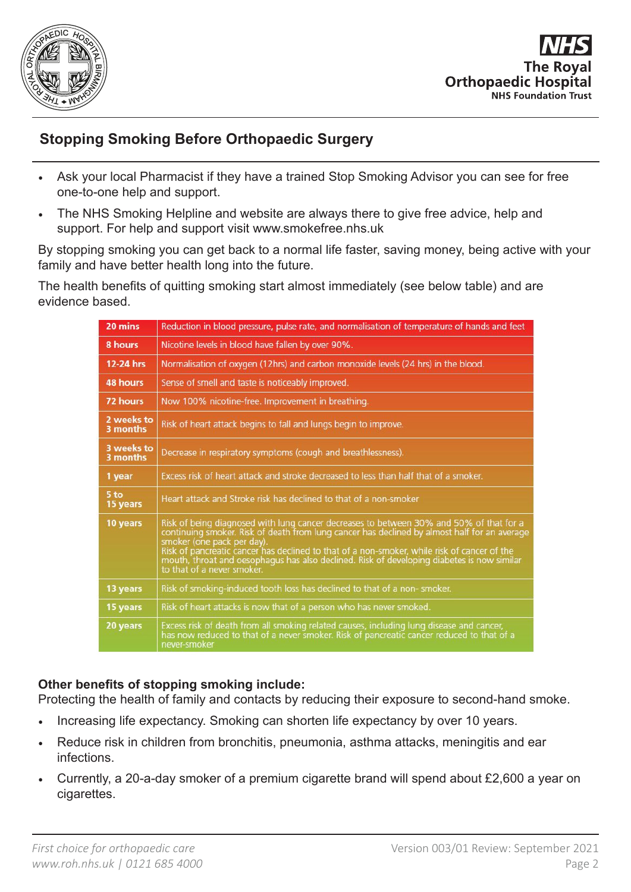



## **Stopping Smoking Before Orthopaedic Surgery**

- Ask your local Pharmacist if they have a trained Stop Smoking Advisor you can see for free one-to-one help and support.
- The NHS Smoking Helpline and website are always there to give free advice, help and support. For help and support visit www.smokefree.nhs.uk

By stopping smoking you can get back to a normal life faster, saving money, being active with your family and have better health long into the future.

The health benefits of quitting smoking start almost immediately (see below table) and are evidence based.

| 20 mins                     | Reduction in blood pressure, pulse rate, and normalisation of temperature of hands and feet                                                                                                                                                                                                                                                                                                                                                     |
|-----------------------------|-------------------------------------------------------------------------------------------------------------------------------------------------------------------------------------------------------------------------------------------------------------------------------------------------------------------------------------------------------------------------------------------------------------------------------------------------|
| 8 hours                     | Nicotine levels in blood have fallen by over 90%.                                                                                                                                                                                                                                                                                                                                                                                               |
| 12-24 hrs                   | Normalisation of oxygen (12hrs) and carbon monoxide levels (24 hrs) in the blood.                                                                                                                                                                                                                                                                                                                                                               |
| <b>48 hours</b>             | Sense of smell and taste is noticeably improved.                                                                                                                                                                                                                                                                                                                                                                                                |
| 72 hours                    | Now 100% nicotine-free. Improvement in breathing.                                                                                                                                                                                                                                                                                                                                                                                               |
| 2 weeks to<br>3 months      | Risk of heart attack begins to fall and lungs begin to improve.                                                                                                                                                                                                                                                                                                                                                                                 |
| 3 weeks to<br>3 months      | Decrease in respiratory symptoms (cough and breathlessness).                                                                                                                                                                                                                                                                                                                                                                                    |
| 1 year                      | Excess risk of heart attack and stroke decreased to less than half that of a smoker.                                                                                                                                                                                                                                                                                                                                                            |
| 5 <sub>to</sub><br>15 years | Heart attack and Stroke risk has declined to that of a non-smoker                                                                                                                                                                                                                                                                                                                                                                               |
| 10 years                    | Risk of being diagnosed with lung cancer decreases to between 30% and 50% of that for a<br>continuing smoker. Risk of death from lung cancer has declined by almost half for an average<br>smoker (one pack per day)<br>Risk of pancreatic cancer has declined to that of a non-smoker, while risk of cancer of the<br>mouth, throat and oesophagus has also declined. Risk of developing diabetes is now similar<br>to that of a never smoker. |
| 13 years                    | Risk of smoking-induced tooth loss has declined to that of a non-smoker.                                                                                                                                                                                                                                                                                                                                                                        |
| 15 years                    | Risk of heart attacks is now that of a person who has never smoked.                                                                                                                                                                                                                                                                                                                                                                             |
| 20 years                    | Excess risk of death from all smoking related causes, including lung disease and cancer,<br>has now reduced to that of a never smoker. Risk of pancreatic cancer reduced to that of a<br>never-smoker                                                                                                                                                                                                                                           |

## **Other benefits of stopping smoking include:**

Protecting the health of family and contacts by reducing their exposure to second-hand smoke.

- Increasing life expectancy. Smoking can shorten life expectancy by over 10 years.
- Reduce risk in children from bronchitis, pneumonia, asthma attacks, meningitis and ear infections.
- Currently, a 20-a-day smoker of a premium cigarette brand will spend about £2,600 a year on cigarettes.